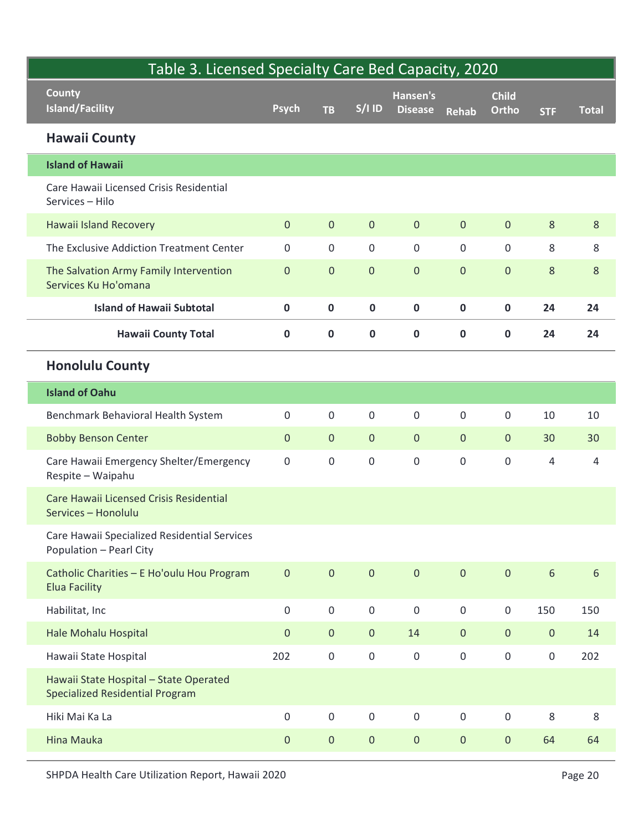| Table 3. Licensed Specialty Care Bed Capacity, 2020<br>County<br><b>Island/Facility</b> | <b>Psych</b>        | <b>TB</b>           | $S/1$ ID            | Hansen's<br><b>Disease</b> | Rehab               | <b>Child</b><br>Ortho | <b>STF</b>          | <b>Total</b>   |
|-----------------------------------------------------------------------------------------|---------------------|---------------------|---------------------|----------------------------|---------------------|-----------------------|---------------------|----------------|
| <b>Hawaii County</b>                                                                    |                     |                     |                     |                            |                     |                       |                     |                |
| <b>Island of Hawaii</b>                                                                 |                     |                     |                     |                            |                     |                       |                     |                |
| Care Hawaii Licensed Crisis Residential<br>Services - Hilo                              |                     |                     |                     |                            |                     |                       |                     |                |
| Hawaii Island Recovery                                                                  | $\overline{0}$      | $\overline{0}$      | $\overline{0}$      | $\overline{0}$             | $\overline{0}$      | $\overline{0}$        | 8                   | $8\phantom{.}$ |
| The Exclusive Addiction Treatment Center                                                | $\mathsf{O}$        | $\mathsf{O}$        | $\mathsf{O}\xspace$ | $\mathsf{O}$               | $\mathbf 0$         | $\mathsf{O}\xspace$   | 8                   | 8              |
| The Salvation Army Family Intervention<br>Services Ku Ho'omana                          | $\overline{0}$      | $\overline{0}$      | $\overline{0}$      | $\overline{0}$             | $\mathbf{0}$        | $\overline{0}$        | 8                   | 8              |
| <b>Island of Hawaii Subtotal</b>                                                        | $\mathbf 0$         | 0                   | $\mathbf 0$         | $\mathbf 0$                | $\mathbf 0$         | $\mathbf 0$           | 24                  | 24             |
| <b>Hawaii County Total</b>                                                              | $\mathbf 0$         | $\mathbf{0}$        | $\mathbf 0$         | 0                          | $\mathbf 0$         | $\mathbf 0$           | 24                  | 24             |
| <b>Honolulu County</b>                                                                  |                     |                     |                     |                            |                     |                       |                     |                |
| <b>Island of Oahu</b>                                                                   |                     |                     |                     |                            |                     |                       |                     |                |
| Benchmark Behavioral Health System                                                      | $\mathsf{O}$        | $\mathbf 0$         | $\mathbf 0$         | $\mathsf{O}$               | $\mathbf 0$         | $\mathsf{O}$          | 10                  | 10             |
| <b>Bobby Benson Center</b>                                                              | $\overline{0}$      | $\overline{0}$      | $\overline{0}$      | $\overline{0}$             | $\mathbf{0}$        | $\overline{0}$        | 30                  | 30             |
| Care Hawaii Emergency Shelter/Emergency<br>Respite - Waipahu                            | $\mathsf{O}\xspace$ | $\mathbf 0$         | $\mathsf{O}\xspace$ | $\mathsf{O}$               | $\mathsf{O}\xspace$ | $\mathsf{O}\xspace$   | 4                   | $\overline{4}$ |
| Care Hawaii Licensed Crisis Residential<br>Services - Honolulu                          |                     |                     |                     |                            |                     |                       |                     |                |
| Care Hawaii Specialized Residential Services<br><b>Population - Pearl City</b>          |                     |                     |                     |                            |                     |                       |                     |                |
| Catholic Charities - E Ho'oulu Hou Program<br><b>Elua Facility</b>                      | $\overline{0}$      | $\overline{0}$      | $\overline{0}$      | $\overline{0}$             | $\overline{0}$      | $\overline{0}$        | $6\phantom{a}$      | $\sqrt{6}$     |
| Habilitat, Inc                                                                          | $\overline{0}$      | $\mathsf{O}$        | $\mathsf{O}\xspace$ | $\mathsf{O}$               | $\mathbf 0$         | $\mathsf{O}$          | 150                 | 150            |
| Hale Mohalu Hospital                                                                    | $\overline{0}$      | $\overline{0}$      | $\overline{0}$      | 14                         | $\mathbf{0}$        | $\overline{0}$        | $\overline{0}$      | 14             |
| Hawaii State Hospital                                                                   | 202                 | $\mathsf{O}\xspace$ | $\mathsf{O}\xspace$ | $\mathsf{O}$               | $\mathbf 0$         | $\mathsf{O}\xspace$   | $\mathsf{O}\xspace$ | 202            |
| Hawaii State Hospital - State Operated<br><b>Specialized Residential Program</b>        |                     |                     |                     |                            |                     |                       |                     |                |
| Hiki Mai Ka La                                                                          | $\mathbf 0$         | 0                   | $\mathsf{O}\xspace$ | $\mathsf{O}$               | $\mathsf{O}\xspace$ | $\mathsf{O}$          | 8                   | $\,8\,$        |
| Hina Mauka                                                                              | $\overline{0}$      | $\overline{0}$      | $\overline{0}$      | $\overline{0}$             | $\mathbf{0}$        | $\overline{0}$        | 64                  | 64             |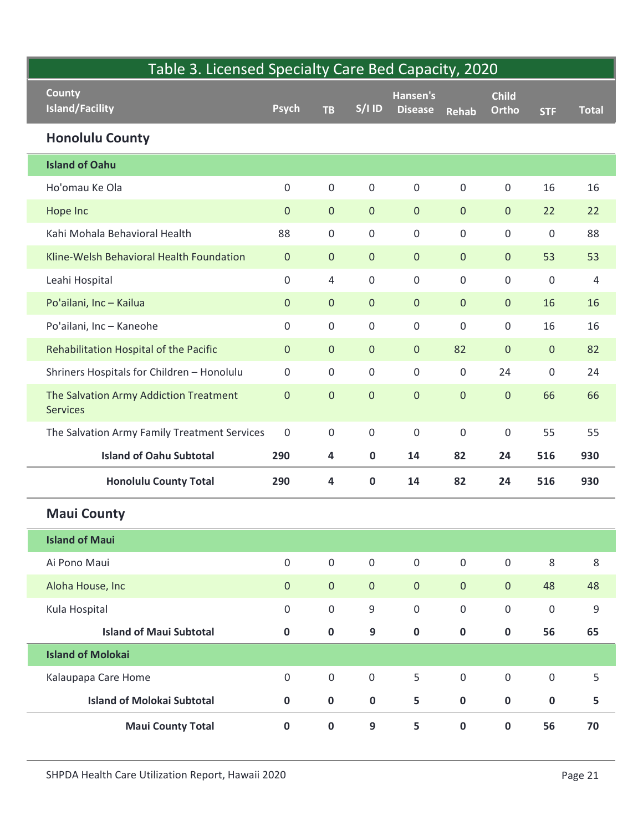| Table 3. Licensed Specialty Care Bed Capacity, 2020       |                     |                |                     |                            |                     |                       |                |                |
|-----------------------------------------------------------|---------------------|----------------|---------------------|----------------------------|---------------------|-----------------------|----------------|----------------|
| <b>County</b><br><b>Island/Facility</b>                   | <b>Psych</b>        | <b>TB</b>      | $S/1$ ID            | Hansen's<br><b>Disease</b> | <b>Rehab</b>        | <b>Child</b><br>Ortho | <b>STF</b>     | <b>Total</b>   |
| <b>Honolulu County</b>                                    |                     |                |                     |                            |                     |                       |                |                |
| <b>Island of Oahu</b>                                     |                     |                |                     |                            |                     |                       |                |                |
| Ho'omau Ke Ola                                            | $\mathbf 0$         | $\mathsf{O}$   | $\mathsf 0$         | $\mathbf 0$                | $\mathbf 0$         | $\mathsf{O}$          | 16             | 16             |
| Hope Inc                                                  | $\mathbf{0}$        | $\overline{0}$ | $\overline{0}$      | $\overline{0}$             | $\overline{0}$      | $\overline{0}$        | 22             | 22             |
| Kahi Mohala Behavioral Health                             | 88                  | $\mathsf{O}$   | $\mathsf{O}\xspace$ | $\mathbf 0$                | $\mathsf{O}\xspace$ | $\mathsf{O}$          | 0              | 88             |
| Kline-Welsh Behavioral Health Foundation                  | $\overline{0}$      | $\overline{0}$ | $\overline{0}$      | $\overline{0}$             | $\overline{0}$      | $\overline{0}$        | 53             | 53             |
| Leahi Hospital                                            | $\mathsf{O}\xspace$ | $\overline{4}$ | $\mathbf 0$         | $\mathsf{O}$               | $\mathsf{O}\xspace$ | $\mathsf{O}$          | 0              | $\overline{4}$ |
| Po'ailani, Inc - Kailua                                   | $\mathbf{0}$        | $\overline{0}$ | $\overline{0}$      | $\overline{0}$             | $\mathbf{0}$        | $\overline{0}$        | 16             | 16             |
| Po'ailani, Inc - Kaneohe                                  | $\mathbf 0$         | $\mathbf 0$    | $\boldsymbol{0}$    | $\mathbf 0$                | $\mathsf{O}\xspace$ | $\mathsf{O}$          | 16             | 16             |
| Rehabilitation Hospital of the Pacific                    | $\mathbf{0}$        | $\overline{0}$ | $\overline{0}$      | $\mathbf{0}$               | 82                  | $\overline{0}$        | $\overline{0}$ | 82             |
| Shriners Hospitals for Children - Honolulu                | $\mathsf{O}\xspace$ | $\mathsf{O}$   | $\mathsf{O}\xspace$ | $\mathsf{O}\xspace$        | $\mathsf 0$         | 24                    | 0              | 24             |
| The Salvation Army Addiction Treatment<br><b>Services</b> | $\mathbf 0$         | $\overline{0}$ | $\mathbf{0}$        | $\mathbf{0}$               | $\mathbf 0$         | $\mathbf 0$           | 66             | 66             |
| The Salvation Army Family Treatment Services              | $\mathbf 0$         | $\mathsf{O}$   | $\mathsf{O}\xspace$ | $\mathsf{O}\xspace$        | $\mathbf 0$         | $\mathsf{O}$          | 55             | 55             |
| <b>Island of Oahu Subtotal</b>                            | 290                 | 4              | $\mathbf 0$         | 14                         | 82                  | 24                    | 516            | 930            |
| <b>Honolulu County Total</b>                              | 290                 | 4              | $\mathbf 0$         | 14                         | 82                  | 24                    | 516            | 930            |
| <b>Maui County</b>                                        |                     |                |                     |                            |                     |                       |                |                |
| <b>Island of Maui</b>                                     |                     |                |                     |                            |                     |                       |                |                |
| Ai Pono Maui                                              | $\mathsf{O}\xspace$ | $\mathsf{O}$   | $\mathsf{O}\xspace$ | $\mathsf{O}\xspace$        | $\mathsf{O}\xspace$ | $\mathsf{O}\xspace$   | 8              | 8              |
| Aloha House, Inc                                          | $\mathbf{0}$        | $\overline{0}$ | $\overline{0}$      | $\overline{0}$             | $\overline{0}$      | $\overline{0}$        | 48             | 48             |
| Kula Hospital                                             | $\mathbf 0$         | $\mathsf{O}$   | 9                   | $\mathsf{O}\xspace$        | $\mathsf{O}\xspace$ | $\mathsf{O}$          | 0              | 9              |
| <b>Island of Maui Subtotal</b>                            | $\mathbf 0$         | $\mathbf 0$    | 9                   | $\mathbf 0$                | $\mathbf 0$         | $\mathbf 0$           | 56             | 65             |
| <b>Island of Molokai</b>                                  |                     |                |                     |                            |                     |                       |                |                |
| Kalaupapa Care Home                                       | $\mathbf 0$         | $\mathsf{O}$   | $\mathsf{O}$        | 5                          | $\mathsf{O}\xspace$ | $\boldsymbol{0}$      | 0              | 5              |
| <b>Island of Molokai Subtotal</b>                         | $\mathbf 0$         | $\mathbf 0$    | $\mathbf 0$         | 5                          | $\mathbf 0$         | $\mathbf 0$           | $\mathbf 0$    | $5\phantom{a}$ |
| <b>Maui County Total</b>                                  | $\mathbf 0$         | $\mathbf 0$    | 9                   | 5                          | $\mathbf 0$         | $\mathbf 0$           | 56             | 70             |
| SHPDA Health Care Utilization Report, Hawaii 2020         |                     |                |                     |                            |                     |                       |                | Page 21        |